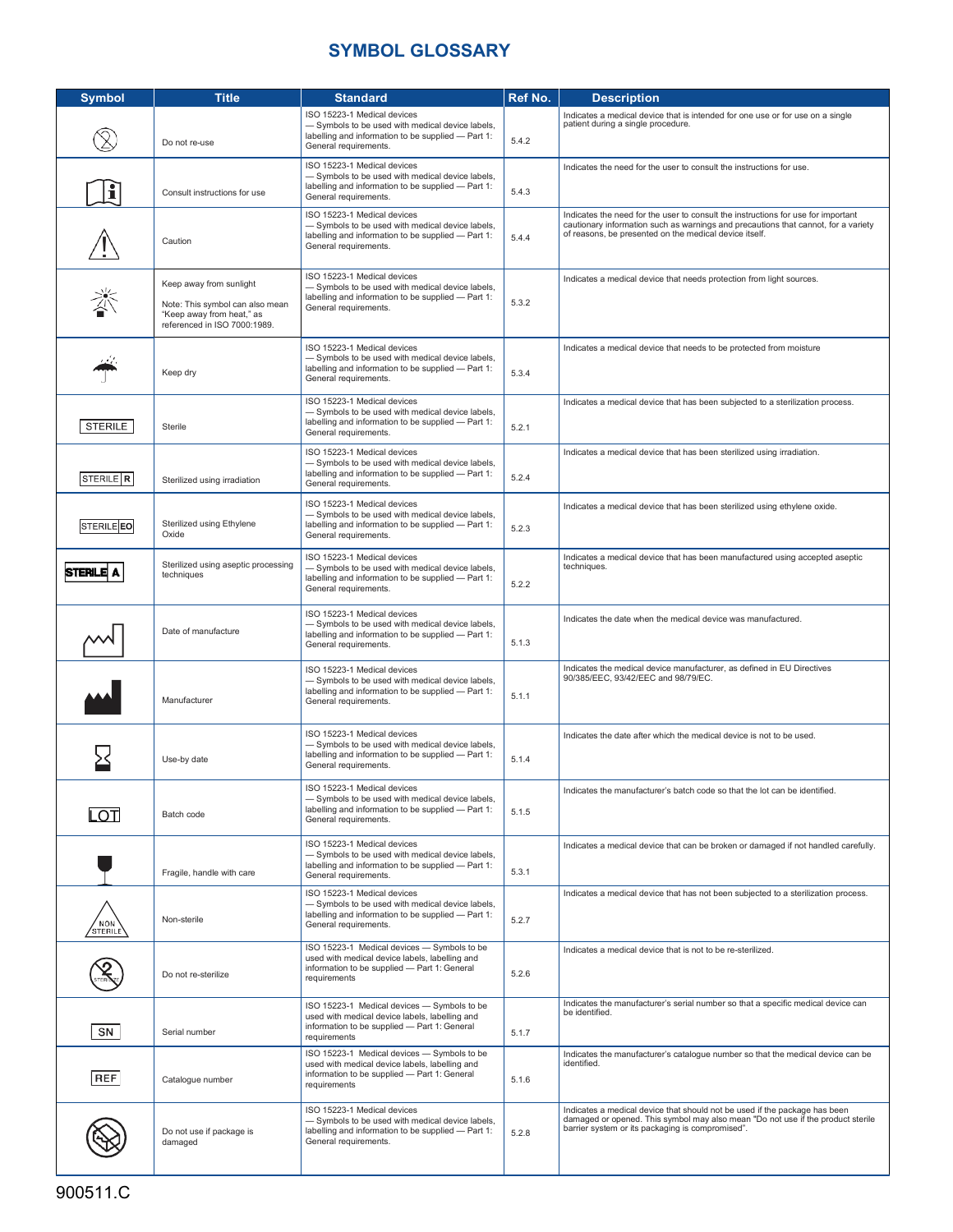## **SYMBOL GLOSSARY**

| <b>Symbol</b>                | <b>Title</b>                                                                                                            | <b>Standard</b>                                                                                                                                                | Ref No. | <b>Description</b>                                                                                                                                                                                                                |
|------------------------------|-------------------------------------------------------------------------------------------------------------------------|----------------------------------------------------------------------------------------------------------------------------------------------------------------|---------|-----------------------------------------------------------------------------------------------------------------------------------------------------------------------------------------------------------------------------------|
|                              | Do not re-use                                                                                                           | ISO 15223-1 Medical devices<br>- Symbols to be used with medical device labels,<br>labelling and information to be supplied - Part 1:<br>General requirements. | 5.4.2   | Indicates a medical device that is intended for one use or for use on a single<br>patient during a single procedure.                                                                                                              |
|                              | Consult instructions for use                                                                                            | ISO 15223-1 Medical devices<br>- Symbols to be used with medical device labels,<br>labelling and information to be supplied - Part 1:<br>General requirements. | 5.4.3   | Indicates the need for the user to consult the instructions for use.                                                                                                                                                              |
|                              | Caution                                                                                                                 | ISO 15223-1 Medical devices<br>- Symbols to be used with medical device labels,<br>labelling and information to be supplied - Part 1:<br>General requirements. | 5.4.4   | Indicates the need for the user to consult the instructions for use for important<br>cautionary information such as warnings and precautions that cannot, for a variety<br>of reasons, be presented on the medical device itself. |
| 談                            | Keep away from sunlight<br>Note: This symbol can also mean<br>"Keep away from heat," as<br>referenced in ISO 7000:1989. | ISO 15223-1 Medical devices<br>- Symbols to be used with medical device labels,<br>labelling and information to be supplied - Part 1:<br>General requirements. | 5.3.2   | Indicates a medical device that needs protection from light sources.                                                                                                                                                              |
|                              | Keep dry                                                                                                                | ISO 15223-1 Medical devices<br>- Symbols to be used with medical device labels,<br>labelling and information to be supplied - Part 1:<br>General requirements. | 5.3.4   | Indicates a medical device that needs to be protected from moisture                                                                                                                                                               |
| STERILE                      | Sterile                                                                                                                 | ISO 15223-1 Medical devices<br>- Symbols to be used with medical device labels,<br>labelling and information to be supplied - Part 1:<br>General requirements. | 5.2.1   | Indicates a medical device that has been subjected to a sterilization process.                                                                                                                                                    |
| STERILE R                    | Sterilized using irradiation                                                                                            | ISO 15223-1 Medical devices<br>- Symbols to be used with medical device labels,<br>labelling and information to be supplied - Part 1:<br>General requirements. | 5.2.4   | Indicates a medical device that has been sterilized using irradiation.                                                                                                                                                            |
| STERILE <b>EO</b>            | Sterilized using Ethylene<br>Oxide                                                                                      | ISO 15223-1 Medical devices<br>- Symbols to be used with medical device labels,<br>labelling and information to be supplied - Part 1:<br>General requirements. | 5.2.3   | Indicates a medical device that has been sterilized using ethylene oxide.                                                                                                                                                         |
| STERILEI                     | Sterilized using aseptic processing<br>techniques                                                                       | ISO 15223-1 Medical devices<br>- Symbols to be used with medical device labels,<br>labelling and information to be supplied - Part 1:<br>General requirements. | 5.2.2   | Indicates a medical device that has been manufactured using accepted aseptic<br>techniques.                                                                                                                                       |
|                              | Date of manufacture                                                                                                     | ISO 15223-1 Medical devices<br>- Symbols to be used with medical device labels,<br>labelling and information to be supplied - Part 1:<br>General requirements. | 5.1.3   | Indicates the date when the medical device was manufactured.                                                                                                                                                                      |
|                              | Manufacturer                                                                                                            | ISO 15223-1 Medical devices<br>- Symbols to be used with medical device labels,<br>labelling and information to be supplied - Part 1:<br>General requirements. | 5.1.1   | Indicates the medical device manufacturer, as defined in EU Directives<br>90/385/EEC, 93/42/EEC and 98/79/EC.                                                                                                                     |
|                              | Use-by date                                                                                                             | ISO 15223-1 Medical devices<br>- Symbols to be used with medical device labels,<br>labelling and information to be supplied - Part 1:<br>General requirements. | 5.1.4   | Indicates the date after which the medical device is not to be used.                                                                                                                                                              |
| LOT                          | Batch code                                                                                                              | ISO 15223-1 Medical devices<br>- Symbols to be used with medical device labels,<br>labelling and information to be supplied - Part 1:<br>General requirements. | 5.1.5   | Indicates the manufacturer's batch code so that the lot can be identified.                                                                                                                                                        |
|                              | Fragile, handle with care                                                                                               | ISO 15223-1 Medical devices<br>- Symbols to be used with medical device labels,<br>labelling and information to be supplied - Part 1:<br>General requirements. | 5.3.1   | Indicates a medical device that can be broken or damaged if not handled carefully.                                                                                                                                                |
| <b>NON</b><br><b>STERILE</b> | Non-sterile                                                                                                             | ISO 15223-1 Medical devices<br>- Symbols to be used with medical device labels,<br>labelling and information to be supplied - Part 1:<br>General requirements. | 5.2.7   | Indicates a medical device that has not been subjected to a sterilization process.                                                                                                                                                |
|                              | Do not re-sterilize                                                                                                     | ISO 15223-1 Medical devices - Symbols to be<br>used with medical device labels, labelling and<br>information to be supplied - Part 1: General<br>requirements  | 5.2.6   | Indicates a medical device that is not to be re-sterilized.                                                                                                                                                                       |
| SN                           | Serial number                                                                                                           | ISO 15223-1 Medical devices - Symbols to be<br>used with medical device labels, labelling and<br>information to be supplied - Part 1: General<br>requirements  | 5.1.7   | Indicates the manufacturer's serial number so that a specific medical device can<br>be identified.                                                                                                                                |
| REF                          | Catalogue number                                                                                                        | ISO 15223-1 Medical devices - Symbols to be<br>used with medical device labels, labelling and<br>information to be supplied - Part 1: General<br>requirements  | 5.1.6   | Indicates the manufacturer's catalogue number so that the medical device can be<br>identified.                                                                                                                                    |
|                              | Do not use if package is<br>damaged                                                                                     | ISO 15223-1 Medical devices<br>- Symbols to be used with medical device labels,<br>labelling and information to be supplied - Part 1:<br>General requirements. | 5.2.8   | Indicates a medical device that should not be used if the package has been<br>damaged or opened. This symbol may also mean "Do not use if the product sterile barrier system or its packaging is compromised".                    |